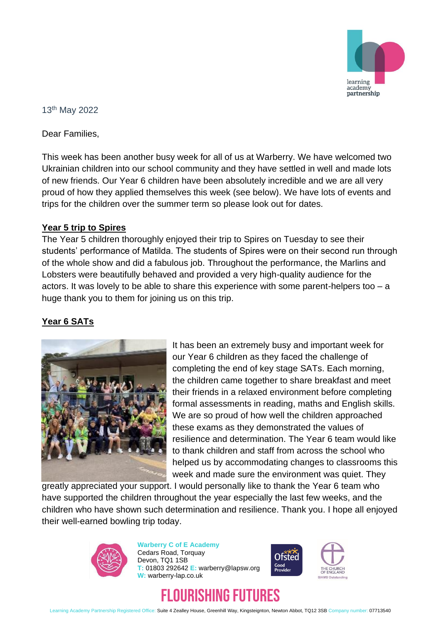

#### 13th May 2022

Dear Families,

This week has been another busy week for all of us at Warberry. We have welcomed two Ukrainian children into our school community and they have settled in well and made lots of new friends. Our Year 6 children have been absolutely incredible and we are all very proud of how they applied themselves this week (see below). We have lots of events and trips for the children over the summer term so please look out for dates.

#### **Year 5 trip to Spires**

The Year 5 children thoroughly enjoyed their trip to Spires on Tuesday to see their students' performance of Matilda. The students of Spires were on their second run through of the whole show and did a fabulous job. Throughout the performance, the Marlins and Lobsters were beautifully behaved and provided a very high-quality audience for the actors. It was lovely to be able to share this experience with some parent-helpers too – a huge thank you to them for joining us on this trip.

### **Year 6 SATs**



It has been an extremely busy and important week for our Year 6 children as they faced the challenge of completing the end of key stage SATs. Each morning, the children came together to share breakfast and meet their friends in a relaxed environment before completing formal assessments in reading, maths and English skills. We are so proud of how well the children approached these exams as they demonstrated the values of resilience and determination. The Year 6 team would like to thank children and staff from across the school who helped us by accommodating changes to classrooms this week and made sure the environment was quiet. They

greatly appreciated your support. I would personally like to thank the Year 6 team who have supported the children throughout the year especially the last few weeks, and the children who have shown such determination and resilience. Thank you. I hope all enjoyed their well-earned bowling trip today.



**Warberry C of E Academy** Cedars Road, Torquay Devon, TQ1 1SB **T:** 01803 292642 **E:** warberry@lapsw.org **W:** warberry-lap.co.uk





# RISHING FUTURES

Learning Academy Partnership Registered Office: Suite 4 Zealley House, Greenhill Way, Kingsteignton, Newton Abbot, TQ12 3SB Company number: 07713540